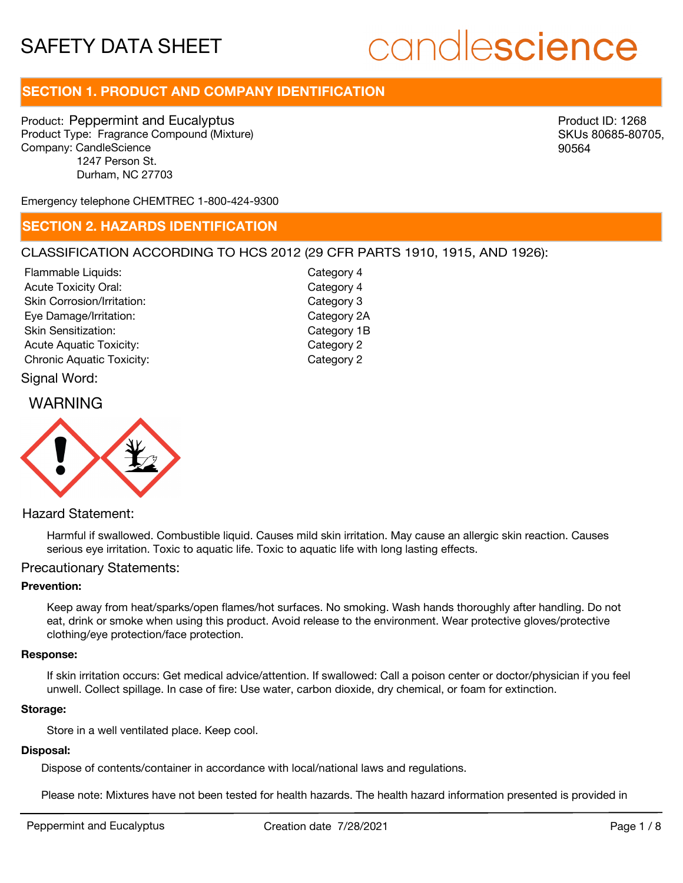# candlescience

# **SECTION 1. PRODUCT AND COMPANY IDENTIFICATION**

Product: Peppermint and Eucalyptus Product Type: Fragrance Compound (Mixture) Company: CandleScience 1247 Person St. Durham, NC 27703

Product ID: 1268 SKUs 80685-80705, 90564

Emergency telephone CHEMTREC 1-800-424-9300

## **SECTION 2. HAZARDS IDENTIFICATION**

#### CLASSIFICATION ACCORDING TO HCS 2012 (29 CFR PARTS 1910, 1915, AND 1926):

Signal Word: Acute Toxicity Oral: Skin Corrosion/Irritation: Eye Damage/Irritation: Skin Sensitization: Acute Aquatic Toxicity: Category 2 Chronic Aquatic Toxicity: Chronic Aquatic Toxicity: Flammable Liquids:

Category 4 Category 3 Category 2A Category 1B Category 4

### WARNING



Hazard Statement:

Harmful if swallowed. Combustible liquid. Causes mild skin irritation. May cause an allergic skin reaction. Causes serious eye irritation. Toxic to aquatic life. Toxic to aquatic life with long lasting effects.

#### Precautionary Statements:

#### **Prevention:**

Keep away from heat/sparks/open flames/hot surfaces. No smoking. Wash hands thoroughly after handling. Do not eat, drink or smoke when using this product. Avoid release to the environment. Wear protective gloves/protective clothing/eye protection/face protection.

#### **Response:**

If skin irritation occurs: Get medical advice/attention. If swallowed: Call a poison center or doctor/physician if you feel unwell. Collect spillage. In case of fire: Use water, carbon dioxide, dry chemical, or foam for extinction.

#### **Storage:**

Store in a well ventilated place. Keep cool.

#### **Disposal:**

Dispose of contents/container in accordance with local/national laws and regulations.

Please note: Mixtures have not been tested for health hazards. The health hazard information presented is provided in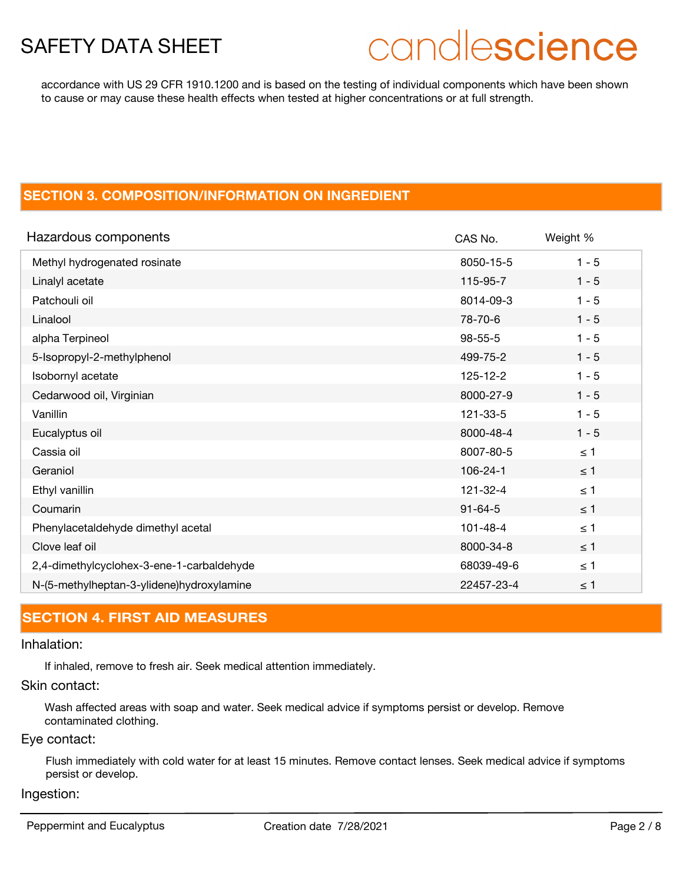# candlescience

accordance with US 29 CFR 1910.1200 and is based on the testing of individual components which have been shown to cause or may cause these health effects when tested at higher concentrations or at full strength.

# **SECTION 3. COMPOSITION/INFORMATION ON INGREDIENT**

| Hazardous components                      | CAS No.        | Weight % |
|-------------------------------------------|----------------|----------|
| Methyl hydrogenated rosinate              | 8050-15-5      | $1 - 5$  |
| Linalyl acetate                           | 115-95-7       | $1 - 5$  |
| Patchouli oil                             | 8014-09-3      | $1 - 5$  |
| Linalool                                  | 78-70-6        | $1 - 5$  |
| alpha Terpineol                           | $98 - 55 - 5$  | $1 - 5$  |
| 5-Isopropyl-2-methylphenol                | 499-75-2       | $1 - 5$  |
| Isobornyl acetate                         | $125 - 12 - 2$ | $1 - 5$  |
| Cedarwood oil, Virginian                  | 8000-27-9      | $1 - 5$  |
| Vanillin                                  | 121-33-5       | $1 - 5$  |
| Eucalyptus oil                            | 8000-48-4      | $1 - 5$  |
| Cassia oil                                | 8007-80-5      | $\leq 1$ |
| Geraniol                                  | $106 - 24 - 1$ | $\leq$ 1 |
| Ethyl vanillin                            | 121-32-4       | $\leq 1$ |
| Coumarin                                  | $91 - 64 - 5$  | $\leq$ 1 |
| Phenylacetaldehyde dimethyl acetal        | $101 - 48 - 4$ | $\leq 1$ |
| Clove leaf oil                            | 8000-34-8      | $\leq$ 1 |
| 2,4-dimethylcyclohex-3-ene-1-carbaldehyde | 68039-49-6     | $\leq 1$ |
| N-(5-methylheptan-3-ylidene)hydroxylamine | 22457-23-4     | $\leq 1$ |

# **SECTION 4. FIRST AID MEASURES**

#### Inhalation:

If inhaled, remove to fresh air. Seek medical attention immediately.

#### Skin contact:

Wash affected areas with soap and water. Seek medical advice if symptoms persist or develop. Remove contaminated clothing.

#### Eye contact:

Flush immediately with cold water for at least 15 minutes. Remove contact lenses. Seek medical advice if symptoms persist or develop.

#### Ingestion:

Peppermint and Eucalyptus **Creation date 7/28/2021** Page 2 / 8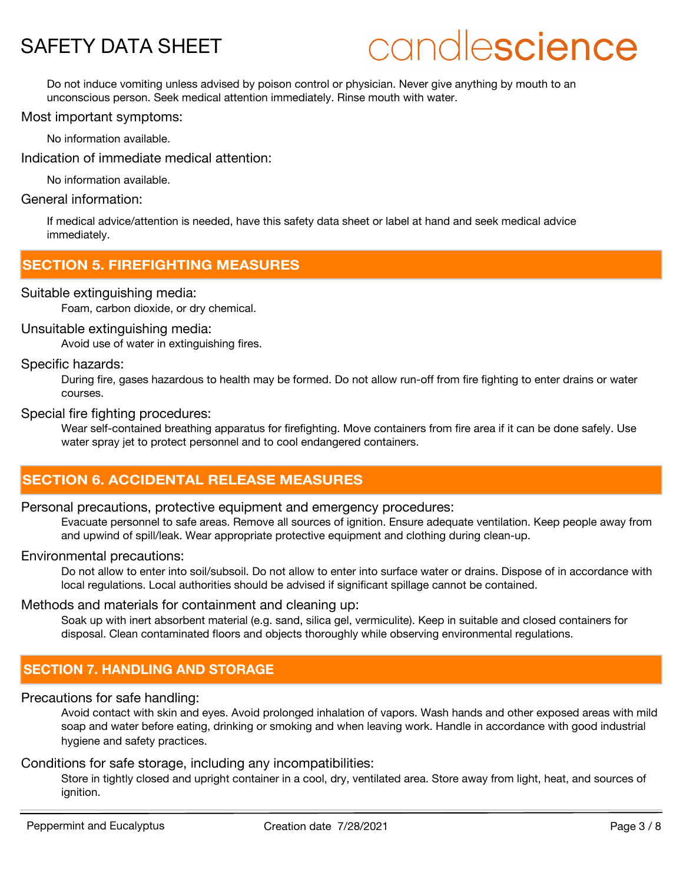# candlescience

Do not induce vomiting unless advised by poison control or physician. Never give anything by mouth to an unconscious person. Seek medical attention immediately. Rinse mouth with water.

#### Most important symptoms:

No information available.

Indication of immediate medical attention:

No information available.

## General information:

If medical advice/attention is needed, have this safety data sheet or label at hand and seek medical advice immediately.

# **SECTION 5. FIREFIGHTING MEASURES**

#### Suitable extinguishing media:

Foam, carbon dioxide, or dry chemical.

#### Unsuitable extinguishing media:

Avoid use of water in extinguishing fires.

#### Specific hazards:

During fire, gases hazardous to health may be formed. Do not allow run-off from fire fighting to enter drains or water courses.

#### Special fire fighting procedures:

Wear self-contained breathing apparatus for firefighting. Move containers from fire area if it can be done safely. Use water spray jet to protect personnel and to cool endangered containers.

# **SECTION 6. ACCIDENTAL RELEASE MEASURES**

#### Personal precautions, protective equipment and emergency procedures:

Evacuate personnel to safe areas. Remove all sources of ignition. Ensure adequate ventilation. Keep people away from and upwind of spill/leak. Wear appropriate protective equipment and clothing during clean-up.

#### Environmental precautions:

Do not allow to enter into soil/subsoil. Do not allow to enter into surface water or drains. Dispose of in accordance with local regulations. Local authorities should be advised if significant spillage cannot be contained.

#### Methods and materials for containment and cleaning up:

Soak up with inert absorbent material (e.g. sand, silica gel, vermiculite). Keep in suitable and closed containers for disposal. Clean contaminated floors and objects thoroughly while observing environmental regulations.

# **SECTION 7. HANDLING AND STORAGE**

#### Precautions for safe handling:

Avoid contact with skin and eyes. Avoid prolonged inhalation of vapors. Wash hands and other exposed areas with mild soap and water before eating, drinking or smoking and when leaving work. Handle in accordance with good industrial hygiene and safety practices.

#### Conditions for safe storage, including any incompatibilities:

Store in tightly closed and upright container in a cool, dry, ventilated area. Store away from light, heat, and sources of ignition.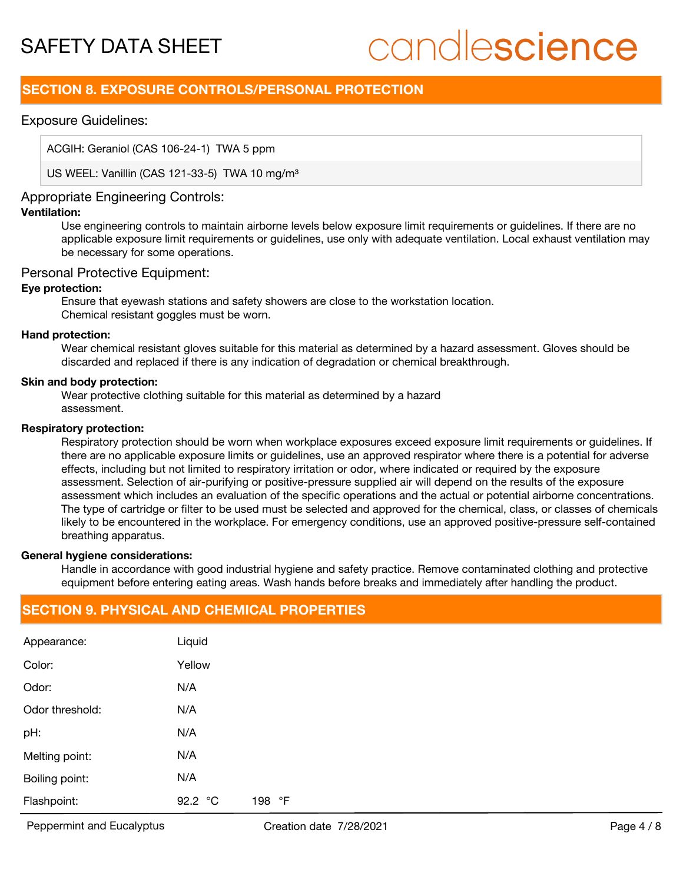# candlescience

# **SECTION 8. EXPOSURE CONTROLS/PERSONAL PROTECTION**

#### Exposure Guidelines:

ACGIH: Geraniol (CAS 106-24-1) TWA 5 ppm

US WEEL: Vanillin (CAS 121-33-5) TWA 10 mg/m<sup>3</sup>

### Appropriate Engineering Controls:

#### **Ventilation:**

Use engineering controls to maintain airborne levels below exposure limit requirements or guidelines. If there are no applicable exposure limit requirements or guidelines, use only with adequate ventilation. Local exhaust ventilation may be necessary for some operations.

#### Personal Protective Equipment:

#### **Eye protection:**

Ensure that eyewash stations and safety showers are close to the workstation location. Chemical resistant goggles must be worn.

#### **Hand protection:**

Wear chemical resistant gloves suitable for this material as determined by a hazard assessment. Gloves should be discarded and replaced if there is any indication of degradation or chemical breakthrough.

#### **Skin and body protection:**

Wear protective clothing suitable for this material as determined by a hazard assessment.

#### **Respiratory protection:**

Respiratory protection should be worn when workplace exposures exceed exposure limit requirements or guidelines. If there are no applicable exposure limits or guidelines, use an approved respirator where there is a potential for adverse effects, including but not limited to respiratory irritation or odor, where indicated or required by the exposure assessment. Selection of air-purifying or positive-pressure supplied air will depend on the results of the exposure assessment which includes an evaluation of the specific operations and the actual or potential airborne concentrations. The type of cartridge or filter to be used must be selected and approved for the chemical, class, or classes of chemicals likely to be encountered in the workplace. For emergency conditions, use an approved positive-pressure self-contained breathing apparatus.

#### **General hygiene considerations:**

Handle in accordance with good industrial hygiene and safety practice. Remove contaminated clothing and protective equipment before entering eating areas. Wash hands before breaks and immediately after handling the product.

### **SECTION 9. PHYSICAL AND CHEMICAL PROPERTIES**

| Appearance:     | Liquid  |        |  |  |
|-----------------|---------|--------|--|--|
| Color:          | Yellow  |        |  |  |
| Odor:           | N/A     |        |  |  |
| Odor threshold: | N/A     |        |  |  |
| pH:             | N/A     |        |  |  |
| Melting point:  | N/A     |        |  |  |
| Boiling point:  | N/A     |        |  |  |
| Flashpoint:     | 92.2 °C | 198 °F |  |  |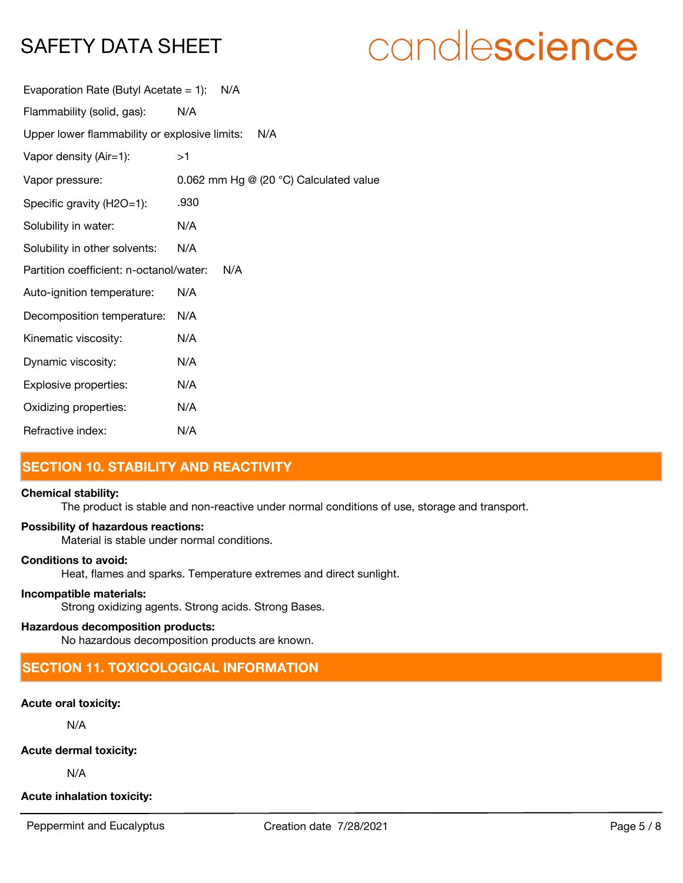# candlescience

| Evaporation Rate (Butyl Acetate = 1):         | N/A                                                |
|-----------------------------------------------|----------------------------------------------------|
| Flammability (solid, gas):                    | N/A                                                |
| Upper lower flammability or explosive limits: | N/A                                                |
| Vapor density (Air=1):                        | >1                                                 |
| Vapor pressure:                               | 0.062 mm Hg $@$ (20 $^{\circ}$ C) Calculated value |
| Specific gravity (H2O=1):                     | .930                                               |
| Solubility in water:                          | N/A                                                |
| Solubility in other solvents:                 | N/A                                                |
| Partition coefficient: n-octanol/water:       | N/A                                                |
| Auto-ignition temperature:                    | N/A                                                |
| Decomposition temperature:                    | N/A                                                |
| Kinematic viscosity:                          | N/A                                                |
| Dynamic viscosity:                            | N/A                                                |
| Explosive properties:                         | N/A                                                |
| Oxidizing properties:                         | N/A                                                |
| Refractive index:                             | N/A                                                |

# **SECTION 10. STABILITY AND REACTIVITY**

#### **Chemical stability:**

The product is stable and non-reactive under normal conditions of use, storage and transport.

#### **Possibility of hazardous reactions:**

Material is stable under normal conditions.

#### **Conditions to avoid:**

Heat, flames and sparks. Temperature extremes and direct sunlight.

#### **Incompatible materials:**

Strong oxidizing agents. Strong acids. Strong Bases.

## **Hazardous decomposition products:**

No hazardous decomposition products are known.

# **SECTION 11. TOXICOLOGICAL INFORMATION**

#### **Acute oral toxicity:**

N/A

#### **Acute dermal toxicity:**

N/A

### **Acute inhalation toxicity:**

Peppermint and Eucalyptus **Creation date 7/28/2021** Page 5 / 8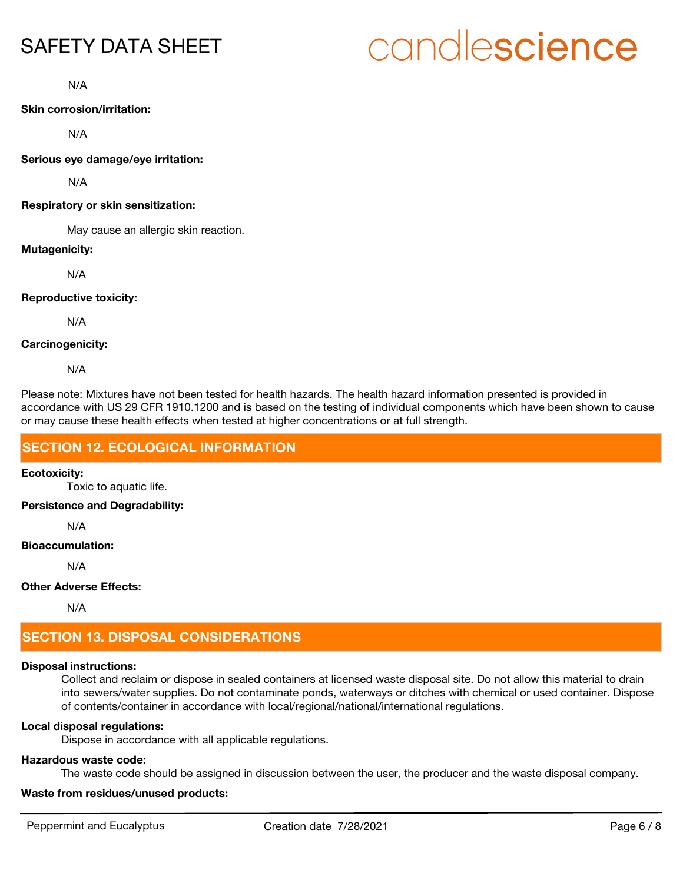# candlescience

N/A

#### **Skin corrosion/irritation:**

N/A

**Serious eye damage/eye irritation:**

N/A

#### **Respiratory or skin sensitization:**

May cause an allergic skin reaction.

#### **Mutagenicity:**

N/A

#### **Reproductive toxicity:**

N/A

#### **Carcinogenicity:**

N/A

Please note: Mixtures have not been tested for health hazards. The health hazard information presented is provided in accordance with US 29 CFR 1910.1200 and is based on the testing of individual components which have been shown to cause or may cause these health effects when tested at higher concentrations or at full strength.

## **SECTION 12. ECOLOGICAL INFORMATION**

#### **Ecotoxicity:**

Toxic to aquatic life.

**Persistence and Degradability:**

N/A

#### **Bioaccumulation:**

N/A

#### **Other Adverse Effects:**

N/A

# **SECTION 13. DISPOSAL CONSIDERATIONS**

### **Disposal instructions:**

Collect and reclaim or dispose in sealed containers at licensed waste disposal site. Do not allow this material to drain into sewers/water supplies. Do not contaminate ponds, waterways or ditches with chemical or used container. Dispose of contents/container in accordance with local/regional/national/international regulations.

### **Local disposal regulations:**

Dispose in accordance with all applicable regulations.

### **Hazardous waste code:**

The waste code should be assigned in discussion between the user, the producer and the waste disposal company.

### **Waste from residues/unused products:**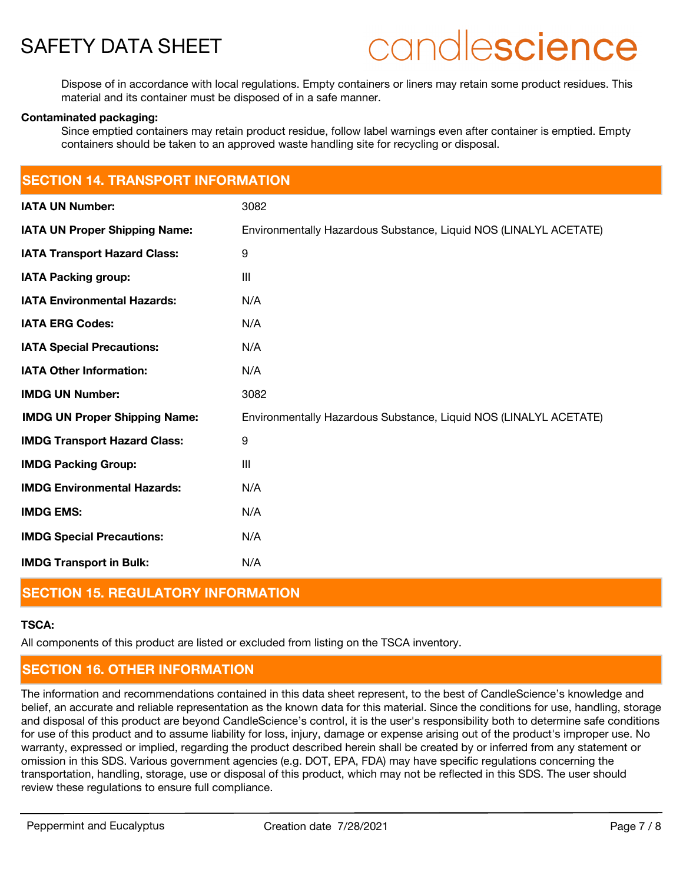

# candlescience

Dispose of in accordance with local regulations. Empty containers or liners may retain some product residues. This material and its container must be disposed of in a safe manner.

#### **Contaminated packaging:**

Since emptied containers may retain product residue, follow label warnings even after container is emptied. Empty containers should be taken to an approved waste handling site for recycling or disposal.

| <b>SECTION 14. TRANSPORT INFORMATION</b> |                                                                   |  |  |  |
|------------------------------------------|-------------------------------------------------------------------|--|--|--|
| <b>IATA UN Number:</b>                   | 3082                                                              |  |  |  |
| <b>IATA UN Proper Shipping Name:</b>     | Environmentally Hazardous Substance, Liquid NOS (LINALYL ACETATE) |  |  |  |
| <b>IATA Transport Hazard Class:</b>      | 9                                                                 |  |  |  |
| <b>IATA Packing group:</b>               | III                                                               |  |  |  |
| <b>IATA Environmental Hazards:</b>       | N/A                                                               |  |  |  |
| <b>IATA ERG Codes:</b>                   | N/A                                                               |  |  |  |
| <b>IATA Special Precautions:</b>         | N/A                                                               |  |  |  |
| <b>IATA Other Information:</b>           | N/A                                                               |  |  |  |
| <b>IMDG UN Number:</b>                   | 3082                                                              |  |  |  |
| <b>IMDG UN Proper Shipping Name:</b>     | Environmentally Hazardous Substance, Liquid NOS (LINALYL ACETATE) |  |  |  |
| <b>IMDG Transport Hazard Class:</b>      | 9                                                                 |  |  |  |
| <b>IMDG Packing Group:</b>               | Ш                                                                 |  |  |  |
| <b>IMDG Environmental Hazards:</b>       | N/A                                                               |  |  |  |
| <b>IMDG EMS:</b>                         | N/A                                                               |  |  |  |
| <b>IMDG Special Precautions:</b>         | N/A                                                               |  |  |  |
| <b>IMDG Transport in Bulk:</b>           | N/A                                                               |  |  |  |

# **SECTION 15. REGULATORY INFORMATION**

#### **TSCA:**

All components of this product are listed or excluded from listing on the TSCA inventory.

# **SECTION 16. OTHER INFORMATION**

The information and recommendations contained in this data sheet represent, to the best of CandleScience's knowledge and belief, an accurate and reliable representation as the known data for this material. Since the conditions for use, handling, storage and disposal of this product are beyond CandleScience's control, it is the user's responsibility both to determine safe conditions for use of this product and to assume liability for loss, injury, damage or expense arising out of the product's improper use. No warranty, expressed or implied, regarding the product described herein shall be created by or inferred from any statement or omission in this SDS. Various government agencies (e.g. DOT, EPA, FDA) may have specific regulations concerning the transportation, handling, storage, use or disposal of this product, which may not be reflected in this SDS. The user should review these regulations to ensure full compliance.